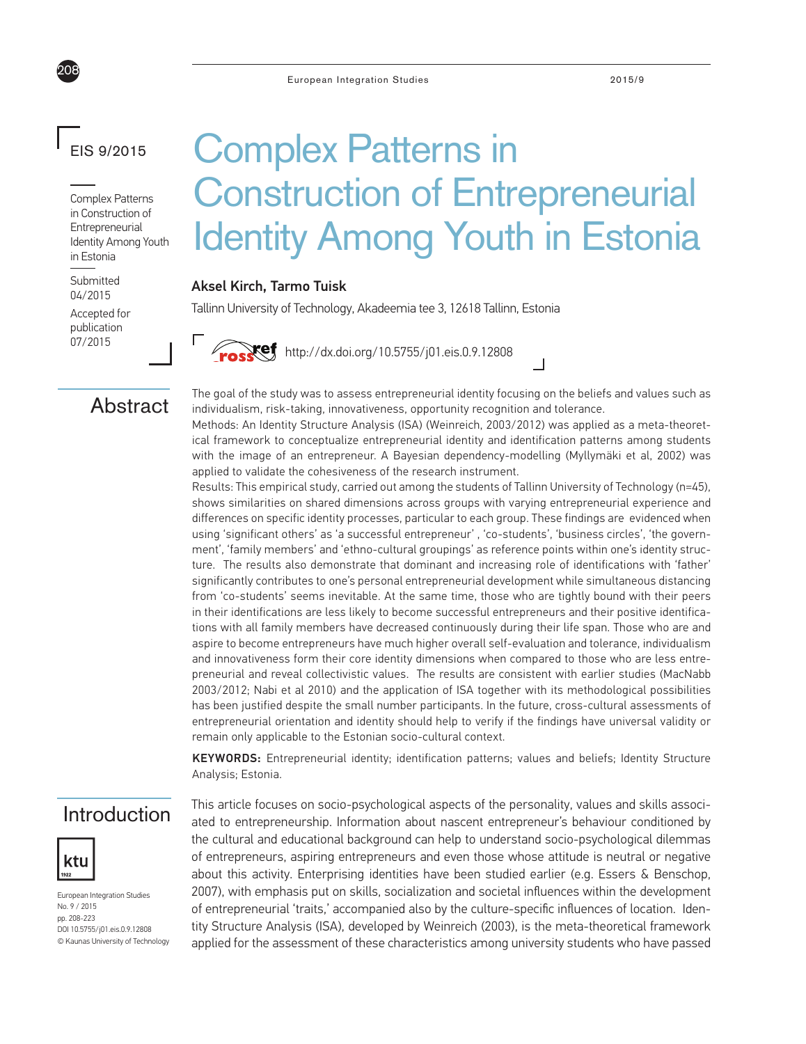## EIS 9/2015

208

Complex Patterns in Construction of Entrepreneurial Identity Among Youth in Estonia

Submitted 04/2015

Accepted for publication 07/2015

# Complex Patterns in Construction of Entrepreneurial Identity Among Youth in Estonia

## Aksel Kirch, Tarmo Tuisk

Tallinn University of Technology, Akadeemia tee 3, 12618 Tallinn, Estonia

**Ref** http://dx.doi.org/10.5755/j01.eis.0.9.12808

## **Abstract**

The goal of the study was to assess entrepreneurial identity focusing on the beliefs and values such as individualism, risk-taking, innovativeness, opportunity recognition and tolerance.

Methods: An Identity Structure Analysis (ISA) (Weinreich, 2003/2012) was applied as a meta-theoretical framework to conceptualize entrepreneurial identity and identification patterns among students with the image of an entrepreneur. A Bayesian dependency-modelling (Myllymäki et al, 2002) was applied to validate the cohesiveness of the research instrument.

 $\Box$ 

Results: This empirical study, carried out among the students of Tallinn University of Technology (n=45), shows similarities on shared dimensions across groups with varying entrepreneurial experience and differences on specific identity processes, particular to each group. These findings are evidenced when using 'significant others' as 'a successful entrepreneur' , 'co-students', 'business circles', 'the government', 'family members' and 'ethno-cultural groupings' as reference points within one's identity structure. The results also demonstrate that dominant and increasing role of identifications with 'father' significantly contributes to one's personal entrepreneurial development while simultaneous distancing from 'co-students' seems inevitable. At the same time, those who are tightly bound with their peers in their identifications are less likely to become successful entrepreneurs and their positive identifications with all family members have decreased continuously during their life span. Those who are and aspire to become entrepreneurs have much higher overall self-evaluation and tolerance, individualism and innovativeness form their core identity dimensions when compared to those who are less entrepreneurial and reveal collectivistic values. The results are consistent with earlier studies (MacNabb 2003/2012; Nabi et al 2010) and the application of ISA together with its methodological possibilities has been justified despite the small number participants. In the future, cross-cultural assessments of entrepreneurial orientation and identity should help to verify if the findings have universal validity or remain only applicable to the Estonian socio-cultural context.

KEYWORDS: Entrepreneurial identity; identification patterns; values and beliefs; Identity Structure Analysis; Estonia.

## Introduction



European Integration Studies No. 9 / 2015 pp. 208-223 DOI 10.5755/j01.eis.0.9.12808 © Kaunas University of Technology This article focuses on socio-psychological aspects of the personality, values and skills associated to entrepreneurship. Information about nascent entrepreneur's behaviour conditioned by the cultural and educational background can help to understand socio-psychological dilemmas of entrepreneurs, aspiring entrepreneurs and even those whose attitude is neutral or negative about this activity. Enterprising identities have been studied earlier (e.g. Essers & Benschop, 2007), with emphasis put on skills, socialization and societal influences within the development of entrepreneurial 'traits,' accompanied also by the culture-specific influences of location. Identity Structure Analysis (ISA), developed by Weinreich (2003), is the meta-theoretical framework applied for the assessment of these characteristics among university students who have passed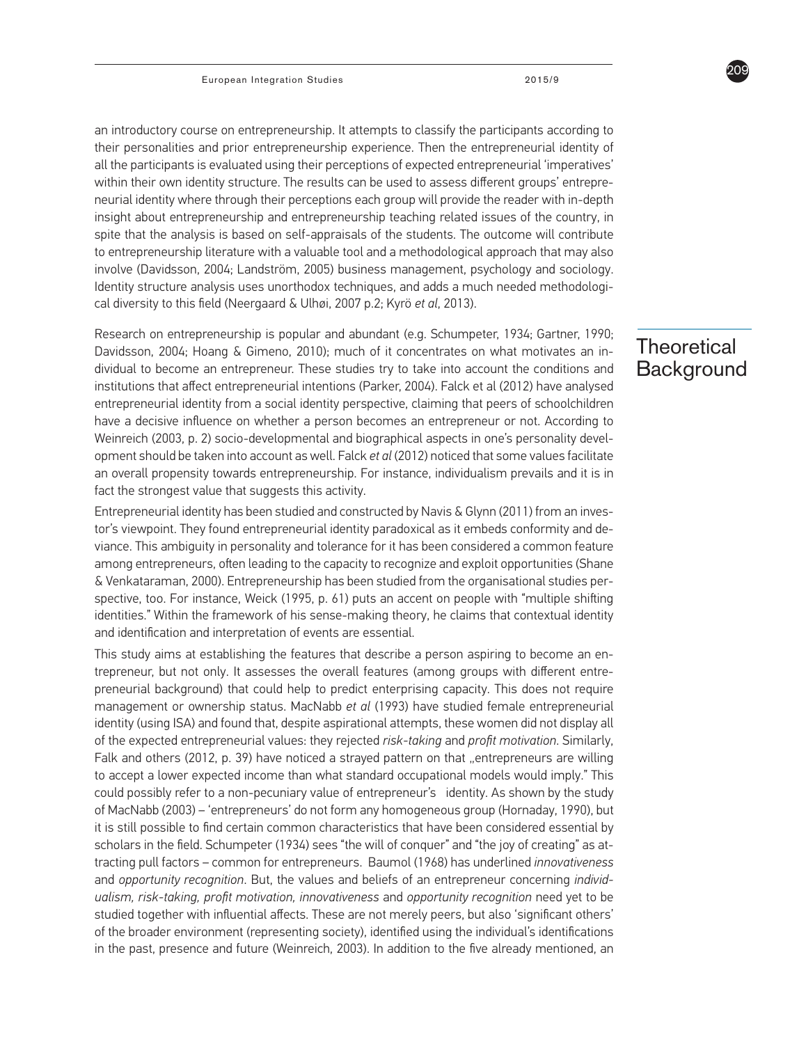an introductory course on entrepreneurship. It attempts to classify the participants according to their personalities and prior entrepreneurship experience. Then the entrepreneurial identity of all the participants is evaluated using their perceptions of expected entrepreneurial 'imperatives' within their own identity structure. The results can be used to assess different groups' entrepreneurial identity where through their perceptions each group will provide the reader with in-depth insight about entrepreneurship and entrepreneurship teaching related issues of the country, in spite that the analysis is based on self-appraisals of the students. The outcome will contribute to entrepreneurship literature with a valuable tool and a methodological approach that may also involve (Davidsson, 2004; Landström, 2005) business management, psychology and sociology. Identity structure analysis uses unorthodox techniques, and adds a much needed methodological diversity to this field (Neergaard & Ulhøi, 2007 p.2; Kyrö *et al*, 2013).

Research on entrepreneurship is popular and abundant (e.g. Schumpeter, 1934; Gartner, 1990; Davidsson, 2004; Hoang & Gimeno, 2010); much of it concentrates on what motivates an individual to become an entrepreneur. These studies try to take into account the conditions and institutions that affect entrepreneurial intentions (Parker, 2004). Falck et al (2012) have analysed entrepreneurial identity from a social identity perspective, claiming that peers of schoolchildren have a decisive influence on whether a person becomes an entrepreneur or not. According to Weinreich (2003, p. 2) socio-developmental and biographical aspects in one's personality development should be taken into account as well. Falck *et al* (2012) noticed that some values facilitate an overall propensity towards entrepreneurship. For instance, individualism prevails and it is in fact the strongest value that suggests this activity.

Entrepreneurial identity has been studied and constructed by Navis & Glynn (2011) from an investor's viewpoint. They found entrepreneurial identity paradoxical as it embeds conformity and deviance. This ambiguity in personality and tolerance for it has been considered a common feature among entrepreneurs, often leading to the capacity to recognize and exploit opportunities (Shane & Venkataraman, 2000). Entrepreneurship has been studied from the organisational studies perspective, too. For instance, Weick (1995, p. 61) puts an accent on people with "multiple shifting identities." Within the framework of his sense-making theory, he claims that contextual identity and identification and interpretation of events are essential.

This study aims at establishing the features that describe a person aspiring to become an entrepreneur, but not only. It assesses the overall features (among groups with different entrepreneurial background) that could help to predict enterprising capacity. This does not require management or ownership status. MacNabb *et al* (1993) have studied female entrepreneurial identity (using ISA) and found that, despite aspirational attempts, these women did not display all of the expected entrepreneurial values: they rejected *risk-taking* and *profit motivation*. Similarly, Falk and others (2012, p. 39) have noticed a straved pattern on that "entrepreneurs are willing to accept a lower expected income than what standard occupational models would imply." This could possibly refer to a non-pecuniary value of entrepreneur's identity. As shown by the study of MacNabb (2003) – 'entrepreneurs' do not form any homogeneous group (Hornaday, 1990), but it is still possible to find certain common characteristics that have been considered essential by scholars in the field. Schumpeter (1934) sees "the will of conquer" and "the joy of creating" as attracting pull factors – common for entrepreneurs. Baumol (1968) has underlined *innovativeness* and *opportunity recognition*. But, the values and beliefs of an entrepreneur concerning *individualism, risk-taking, profit motivation, innovativeness* and *opportunity recognition* need yet to be studied together with influential affects. These are not merely peers, but also 'significant others' of the broader environment (representing society), identified using the individual's identifications in the past, presence and future (Weinreich, 2003). In addition to the five already mentioned, an

## **Theoretical Background**

209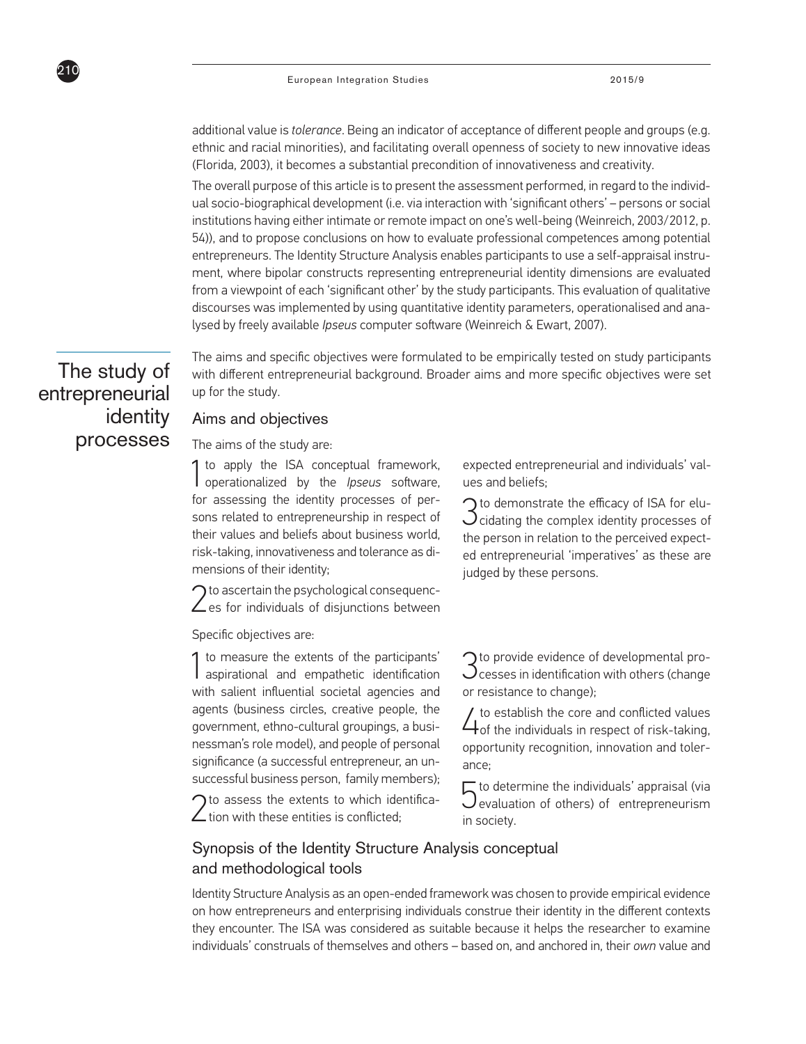additional value is *tolerance*. Being an indicator of acceptance of different people and groups (e.g. ethnic and racial minorities), and facilitating overall openness of society to new innovative ideas (Florida, 2003), it becomes a substantial precondition of innovativeness and creativity.

The overall purpose of this article is to present the assessment performed, in regard to the individual socio-biographical development (i.e. via interaction with 'significant others' – persons or social institutions having either intimate or remote impact on one's well-being (Weinreich, 2003/2012, p. 54)), and to propose conclusions on how to evaluate professional competences among potential entrepreneurs. The Identity Structure Analysis enables participants to use a self-appraisal instrument, where bipolar constructs representing entrepreneurial identity dimensions are evaluated from a viewpoint of each 'significant other' by the study participants. This evaluation of qualitative discourses was implemented by using quantitative identity parameters, operationalised and analysed by freely available *Ipseus* computer software (Weinreich & Ewart, 2007).

The study of entrepreneurial identity processes

210

The aims and specific objectives were formulated to be empirically tested on study participants with different entrepreneurial background. Broader aims and more specific objectives were set up for the study.

### Aims and objectives

The aims of the study are:

1to apply the ISA conceptual framework, operationalized by the *Ipseus* software, for assessing the identity processes of persons related to entrepreneurship in respect of their values and beliefs about business world, risk-taking, innovativeness and tolerance as dimensions of their identity;

 $2<sup>to</sup>$  ascertain the psychological consequenc-<br>es for individuals of disjunctions between  $\bigcap$  to ascertain the psychological consequenc-

Specific objectives are:

1 to measure the extents of the participants' aspirational and empathetic identification with salient influential societal agencies and agents (business circles, creative people, the government, ethno-cultural groupings, a businessman's role model), and people of personal significance (a successful entrepreneur, an unsuccessful business person, family members);

 $\bigcap$  to assess the extents to which identifica- $\angle$  tion with these entities is conflicted;

expected entrepreneurial and individuals' values and beliefs;

3 cidating the complex identity processes of  $\bigcap$  to demonstrate the efficacy of ISA for eluthe person in relation to the perceived expected entrepreneurial 'imperatives' as these are judged by these persons.

 $\bigcap$  to provide evidence of developmental pro- $\bigcup$ cesses in identification with others (change or resistance to change);

 $\angle$  to establish the core and conflicted values<br>of the individuals in respect of risk-taking, opportunity recognition, innovation and tolerance;

 $\sqrt{\phantom{a}}$  to determine the individuals' appraisal (via Jevaluation of others) of entrepreneurism in society.

## Synopsis of the Identity Structure Analysis conceptual and methodological tools

Identity Structure Analysis as an open-ended framework was chosen to provide empirical evidence on how entrepreneurs and enterprising individuals construe their identity in the different contexts they encounter. The ISA was considered as suitable because it helps the researcher to examine individuals' construals of themselves and others – based on, and anchored in, their *own* value and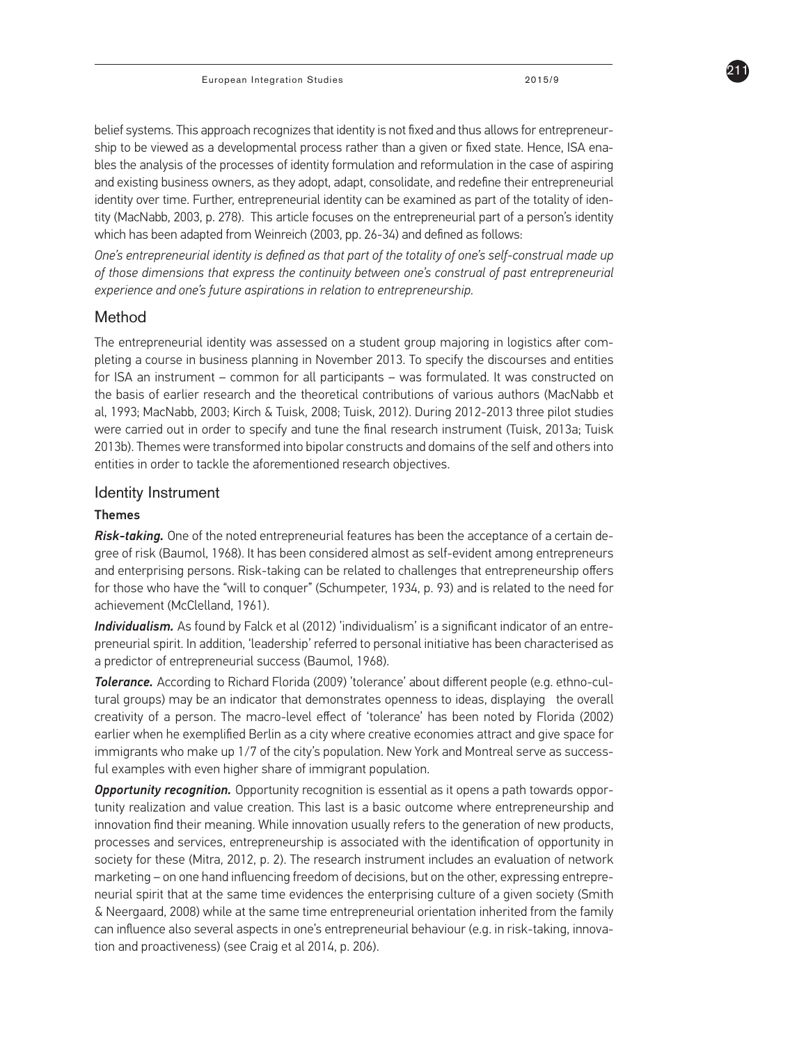211

belief systems. This approach recognizes that identity is not fixed and thus allows for entrepreneurship to be viewed as a developmental process rather than a given or fixed state. Hence, ISA enables the analysis of the processes of identity formulation and reformulation in the case of aspiring and existing business owners, as they adopt, adapt, consolidate, and redefine their entrepreneurial identity over time. Further, entrepreneurial identity can be examined as part of the totality of identity (MacNabb, 2003, p. 278). This article focuses on the entrepreneurial part of a person's identity which has been adapted from Weinreich (2003, pp. 26-34) and defined as follows:

*One's entrepreneurial identity is defined as that part of the totality of one's self-construal made up of those dimensions that express the continuity between one's construal of past entrepreneurial experience and one's future aspirations in relation to entrepreneurship.*

### Method

The entrepreneurial identity was assessed on a student group majoring in logistics after completing a course in business planning in November 2013. To specify the discourses and entities for ISA an instrument – common for all participants – was formulated. It was constructed on the basis of earlier research and the theoretical contributions of various authors (MacNabb et al, 1993; MacNabb, 2003; Kirch & Tuisk, 2008; Tuisk, 2012). During 2012-2013 three pilot studies were carried out in order to specify and tune the final research instrument (Tuisk, 2013a; Tuisk 2013b). Themes were transformed into bipolar constructs and domains of the self and others into entities in order to tackle the aforementioned research objectives.

#### Identity Instrument

#### Themes

*Risk-taking.* One of the noted entrepreneurial features has been the acceptance of a certain degree of risk (Baumol, 1968). It has been considered almost as self-evident among entrepreneurs and enterprising persons. Risk-taking can be related to challenges that entrepreneurship offers for those who have the "will to conquer" (Schumpeter, 1934, p. 93) and is related to the need for achievement (McClelland, 1961).

*Individualism.* As found by Falck et al (2012) 'individualism' is a significant indicator of an entrepreneurial spirit. In addition, 'leadership' referred to personal initiative has been characterised as a predictor of entrepreneurial success (Baumol, 1968).

*Tolerance.* According to Richard Florida (2009) 'tolerance' about different people (e.g. ethno-cultural groups) may be an indicator that demonstrates openness to ideas, displaying the overall creativity of a person. The macro-level effect of 'tolerance' has been noted by Florida (2002) earlier when he exemplified Berlin as a city where creative economies attract and give space for immigrants who make up 1/7 of the city's population. New York and Montreal serve as successful examples with even higher share of immigrant population.

*Opportunity recognition.* Opportunity recognition is essential as it opens a path towards opportunity realization and value creation. This last is a basic outcome where entrepreneurship and innovation find their meaning. While innovation usually refers to the generation of new products, processes and services, entrepreneurship is associated with the identification of opportunity in society for these (Mitra, 2012, p. 2). The research instrument includes an evaluation of network marketing – on one hand influencing freedom of decisions, but on the other, expressing entrepreneurial spirit that at the same time evidences the enterprising culture of a given society (Smith & Neergaard, 2008) while at the same time entrepreneurial orientation inherited from the family can influence also several aspects in one's entrepreneurial behaviour (e.g. in risk-taking, innovation and proactiveness) (see Craig et al 2014, p. 206).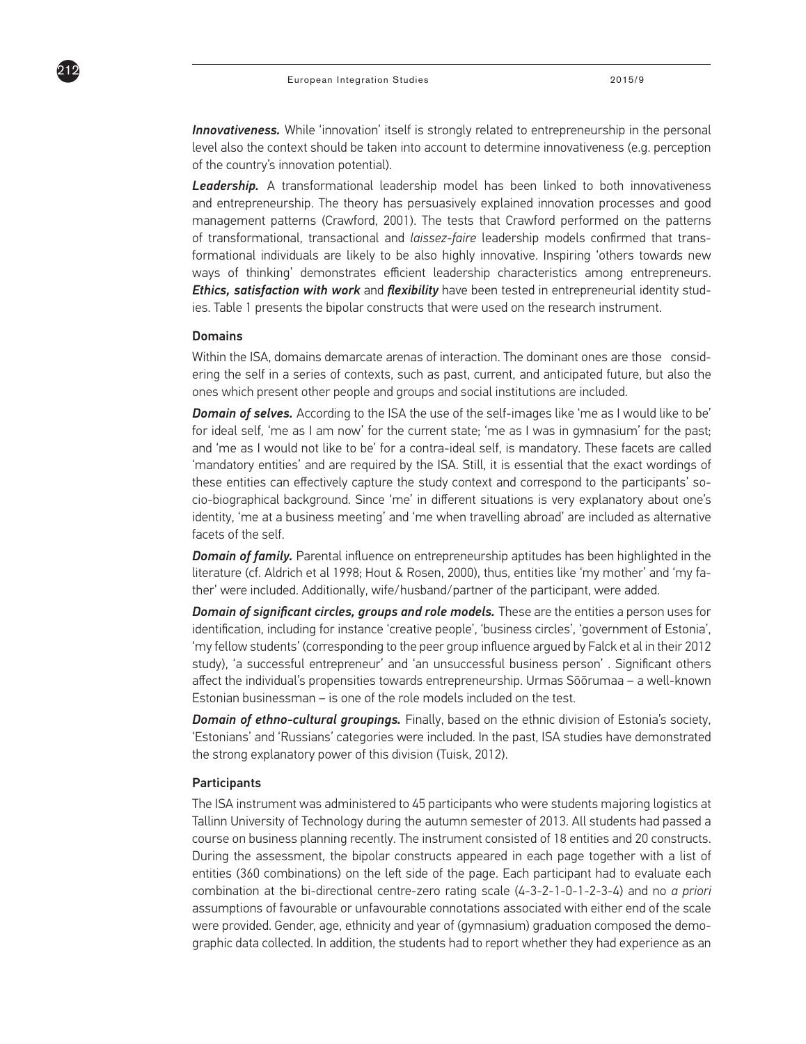**Innovativeness.** While 'innovation' itself is strongly related to entrepreneurship in the personal level also the context should be taken into account to determine innovativeness (e.g. perception of the country's innovation potential).

**Leadership.** A transformational leadership model has been linked to both innovativeness and entrepreneurship. The theory has persuasively explained innovation processes and good management patterns (Crawford, 2001). The tests that Crawford performed on the patterns of transformational, transactional and *laissez-faire* leadership models confirmed that transformational individuals are likely to be also highly innovative. Inspiring 'others towards new ways of thinking' demonstrates efficient leadership characteristics among entrepreneurs. *Ethics, satisfaction with work* and *flexibility* have been tested in entrepreneurial identity studies. Table 1 presents the bipolar constructs that were used on the research instrument.

#### **Domains**

212

Within the ISA, domains demarcate arenas of interaction. The dominant ones are those considering the self in a series of contexts, such as past, current, and anticipated future, but also the ones which present other people and groups and social institutions are included.

**Domain of selves.** According to the ISA the use of the self-images like 'me as I would like to be' for ideal self, 'me as I am now' for the current state; 'me as I was in gymnasium' for the past; and 'me as I would not like to be' for a contra-ideal self, is mandatory. These facets are called 'mandatory entities' and are required by the ISA. Still, it is essential that the exact wordings of these entities can effectively capture the study context and correspond to the participants' socio-biographical background. Since 'me' in different situations is very explanatory about one's identity, 'me at a business meeting' and 'me when travelling abroad' are included as alternative facets of the self.

*Domain of family.* Parental influence on entrepreneurship aptitudes has been highlighted in the literature (cf. Aldrich et al 1998; Hout & Rosen, 2000), thus, entities like 'my mother' and 'my father' were included. Additionally, wife/husband/partner of the participant, were added.

*Domain of significant circles, groups and role models.* These are the entities a person uses for identification, including for instance 'creative people', 'business circles', 'government of Estonia', 'my fellow students' (corresponding to the peer group influence argued by Falck et al in their 2012 study), 'a successful entrepreneur' and 'an unsuccessful business person' . Significant others affect the individual's propensities towards entrepreneurship. Urmas Sõõrumaa – a well-known Estonian businessman – is one of the role models included on the test.

*Domain of ethno-cultural groupings.* Finally, based on the ethnic division of Estonia's society, 'Estonians' and 'Russians' categories were included. In the past, ISA studies have demonstrated the strong explanatory power of this division (Tuisk, 2012).

#### **Participants**

The ISA instrument was administered to 45 participants who were students majoring logistics at Tallinn University of Technology during the autumn semester of 2013. All students had passed a course on business planning recently. The instrument consisted of 18 entities and 20 constructs. During the assessment, the bipolar constructs appeared in each page together with a list of entities (360 combinations) on the left side of the page. Each participant had to evaluate each combination at the bi-directional centre-zero rating scale (4-3-2-1-0-1-2-3-4) and no *a priori*  assumptions of favourable or unfavourable connotations associated with either end of the scale were provided. Gender, age, ethnicity and year of (gymnasium) graduation composed the demographic data collected. In addition, the students had to report whether they had experience as an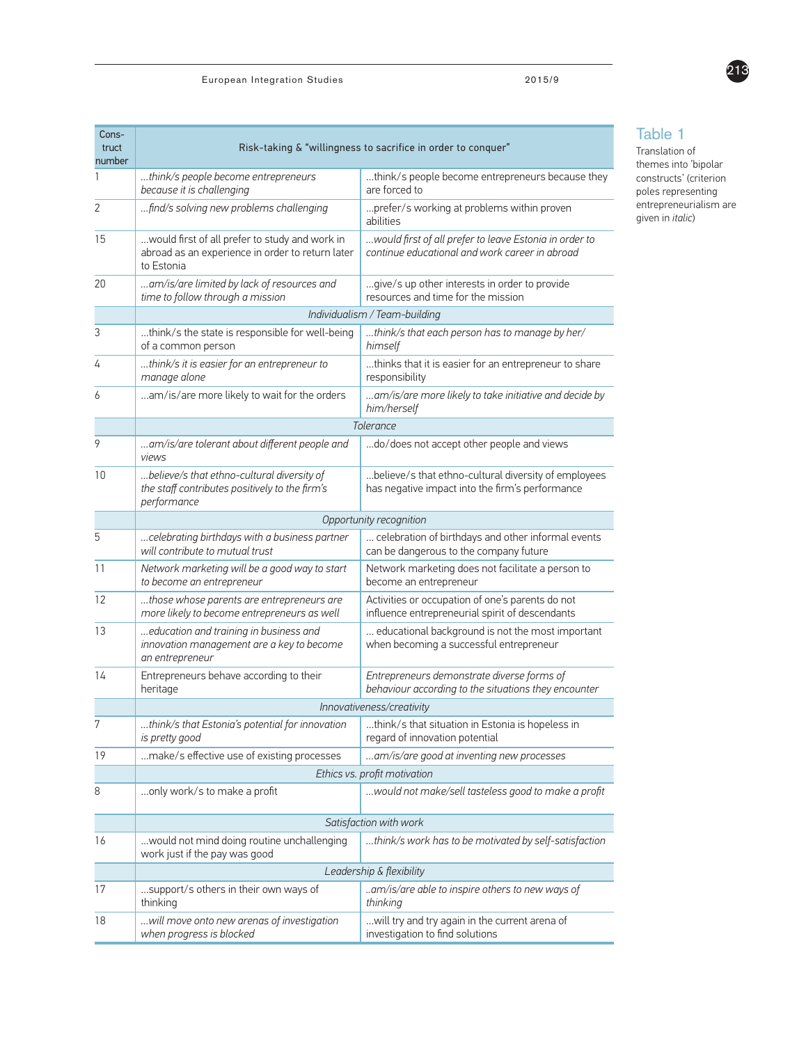| Cons-<br>truct<br>number | Risk-taking & "willingness to sacrifice in order to conquer"                                                     |                                                                                                                                                                                                                                                                                                                                                                                    |  |  |  |  |  |  |  |  |
|--------------------------|------------------------------------------------------------------------------------------------------------------|------------------------------------------------------------------------------------------------------------------------------------------------------------------------------------------------------------------------------------------------------------------------------------------------------------------------------------------------------------------------------------|--|--|--|--|--|--|--|--|
| 1                        | think/s people become entrepreneurs<br>because it is challenging                                                 | think/s people become entrepreneurs because they<br>are forced to                                                                                                                                                                                                                                                                                                                  |  |  |  |  |  |  |  |  |
| 2                        | find/s solving new problems challenging                                                                          | prefer/s working at problems within proven<br>abilities                                                                                                                                                                                                                                                                                                                            |  |  |  |  |  |  |  |  |
| 15                       | would first of all prefer to study and work in<br>abroad as an experience in order to return later<br>to Estonia | would first of all prefer to leave Estonia in order to<br>continue educational and work career in abroad                                                                                                                                                                                                                                                                           |  |  |  |  |  |  |  |  |
| 20                       | am/is/are limited by lack of resources and<br>time to follow through a mission                                   | give/s up other interests in order to provide<br>resources and time for the mission                                                                                                                                                                                                                                                                                                |  |  |  |  |  |  |  |  |
|                          | Individualism / Team-building                                                                                    |                                                                                                                                                                                                                                                                                                                                                                                    |  |  |  |  |  |  |  |  |
| 3                        | think/s the state is responsible for well-being<br>of a common person                                            | think/s that each person has to manage by her/<br>himself                                                                                                                                                                                                                                                                                                                          |  |  |  |  |  |  |  |  |
| 4                        | think/s it is easier for an entrepreneur to<br>manage alone                                                      | thinks that it is easier for an entrepreneur to share<br>responsibility                                                                                                                                                                                                                                                                                                            |  |  |  |  |  |  |  |  |
| 6                        | am/is/are more likely to wait for the orders                                                                     | am/is/are more likely to take initiative and decide by<br>him/herself<br>do/does not accept other people and views<br>believe/s that ethno-cultural diversity of employees<br>has negative impact into the firm's performance<br>celebration of birthdays and other informal events<br>can be dangerous to the company future<br>Network marketing does not facilitate a person to |  |  |  |  |  |  |  |  |
|                          |                                                                                                                  | Tolerance                                                                                                                                                                                                                                                                                                                                                                          |  |  |  |  |  |  |  |  |
| 9                        | am/is/are tolerant about different people and<br>views                                                           |                                                                                                                                                                                                                                                                                                                                                                                    |  |  |  |  |  |  |  |  |
| 10                       | believe/s that ethno-cultural diversity of<br>the staff contributes positively to the firm's<br>performance      |                                                                                                                                                                                                                                                                                                                                                                                    |  |  |  |  |  |  |  |  |
|                          | Opportunity recognition                                                                                          |                                                                                                                                                                                                                                                                                                                                                                                    |  |  |  |  |  |  |  |  |
| 5                        | celebrating birthdays with a business partner<br>will contribute to mutual trust                                 |                                                                                                                                                                                                                                                                                                                                                                                    |  |  |  |  |  |  |  |  |
| 11                       | Network marketing will be a good way to start<br>to become an entrepreneur                                       | become an entrepreneur                                                                                                                                                                                                                                                                                                                                                             |  |  |  |  |  |  |  |  |
| 12                       | those whose parents are entrepreneurs are<br>more likely to become entrepreneurs as well                         | Activities or occupation of one's parents do not<br>influence entrepreneurial spirit of descendants                                                                                                                                                                                                                                                                                |  |  |  |  |  |  |  |  |
| 13                       | education and training in business and<br>innovation management are a key to become<br>an entrepreneur           | educational background is not the most important<br>when becoming a successful entrepreneur                                                                                                                                                                                                                                                                                        |  |  |  |  |  |  |  |  |
| 14                       | Entrepreneurs behave according to their<br>heritage                                                              | Entrepreneurs demonstrate diverse forms of<br>behaviour according to the situations they encounter                                                                                                                                                                                                                                                                                 |  |  |  |  |  |  |  |  |
|                          |                                                                                                                  | Innovativeness/creativity                                                                                                                                                                                                                                                                                                                                                          |  |  |  |  |  |  |  |  |
| 7                        | think/s that Estonia's potential for innovation<br>is pretty good                                                | think/s that situation in Estonia is hopeless in<br>regard of innovation potential                                                                                                                                                                                                                                                                                                 |  |  |  |  |  |  |  |  |
| 19                       | make/s effective use of existing processes                                                                       | am/is/are good at inventing new processes                                                                                                                                                                                                                                                                                                                                          |  |  |  |  |  |  |  |  |
|                          |                                                                                                                  | Ethics vs. profit motivation                                                                                                                                                                                                                                                                                                                                                       |  |  |  |  |  |  |  |  |
| 8                        | only work/s to make a profit                                                                                     | would not make/sell tasteless good to make a profit                                                                                                                                                                                                                                                                                                                                |  |  |  |  |  |  |  |  |
|                          |                                                                                                                  | Satisfaction with work                                                                                                                                                                                                                                                                                                                                                             |  |  |  |  |  |  |  |  |
| 16                       | would not mind doing routine unchallenging<br>work just if the pay was good                                      | think/s work has to be motivated by self-satisfaction                                                                                                                                                                                                                                                                                                                              |  |  |  |  |  |  |  |  |
|                          |                                                                                                                  | Leadership & flexibility                                                                                                                                                                                                                                                                                                                                                           |  |  |  |  |  |  |  |  |
| 17                       | support/s others in their own ways of<br>thinking                                                                | am/is/are able to inspire others to new ways of<br>thinking                                                                                                                                                                                                                                                                                                                        |  |  |  |  |  |  |  |  |
| 18                       | will move onto new arenas of investigation<br>when progress is blocked                                           | will try and try again in the current arena of<br>investigation to find solutions                                                                                                                                                                                                                                                                                                  |  |  |  |  |  |  |  |  |

## Table 1

Translation of themes into 'bipolar constructs' (criterion poles representing entrepreneurialism are given in *italic*)

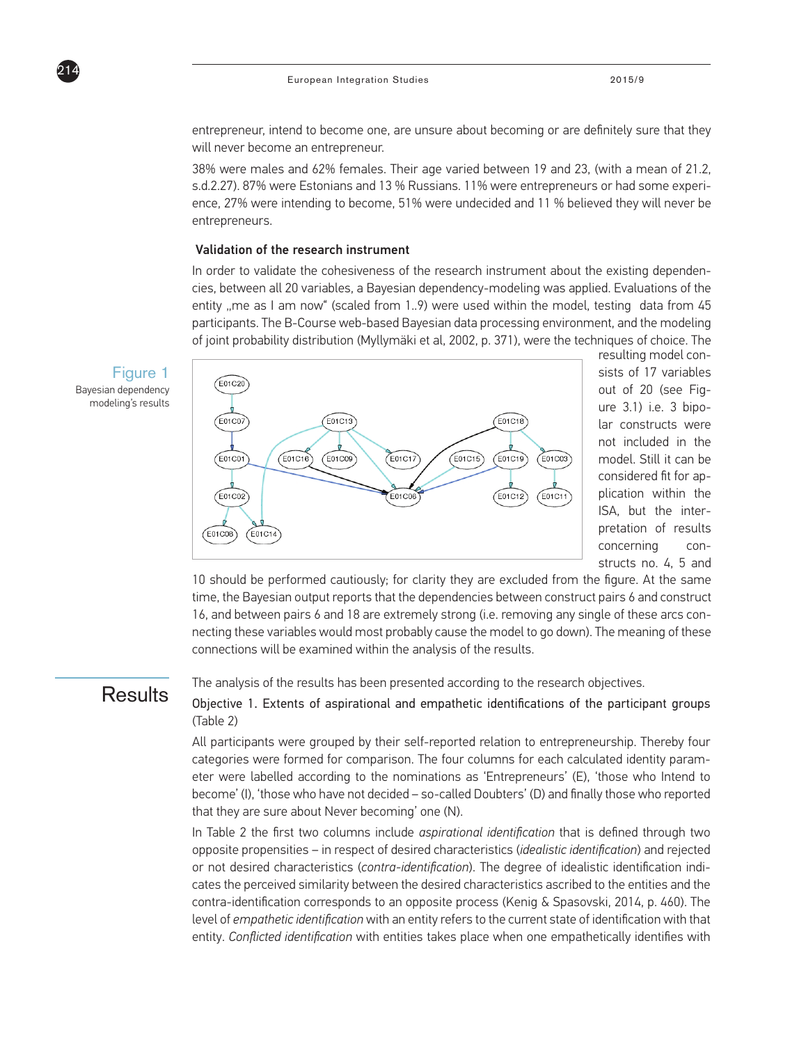

entrepreneur, intend to become one, are unsure about becoming or are definitely sure that they will never become an entrepreneur.

38% were males and 62% females. Their age varied between 19 and 23, (with a mean of 21.2, s.d.2.27). 87% were Estonians and 13 % Russians. 11% were entrepreneurs or had some experience, 27% were intending to become, 51% were undecided and 11 % believed they will never be entrepreneurs.

### Validation of the research instrument

In order to validate the cohesiveness of the research instrument about the existing dependencies, between all 20 variables, a Bayesian dependency-modeling was applied. Evaluations of the entity "me as I am now" (scaled from 1..9) were used within the model, testing data from  $45$ participants. The B-Course web-based Bayesian data processing environment, and the modeling of joint probability distribution (Myllymäki et al, 2002, p. 371), were the techniques of choice. The



resulting model consists of 17 variables out of 20 (see Figure 3.1) i.e. 3 bipolar constructs were not included in the model. Still it can be considered fit for application within the ISA, but the interpretation of results concerning constructs no. 4, 5 and

10 should be performed cautiously; for clarity they are excluded from the figure. At the same time, the Bayesian output reports that the dependencies between construct pairs 6 and construct 16, and between pairs 6 and 18 are extremely strong (i.e. removing any single of these arcs connecting these variables would most probably cause the model to go down). The meaning of these connections will be examined within the analysis of the results.

## **Results**

The analysis of the results has been presented according to the research objectives.

Objective 1. Extents of aspirational and empathetic identifications of the participant groups (Table 2)

All participants were grouped by their self-reported relation to entrepreneurship. Thereby four categories were formed for comparison. The four columns for each calculated identity parameter were labelled according to the nominations as 'Entrepreneurs' (E), 'those who Intend to become' (I), 'those who have not decided – so-called Doubters' (D) and finally those who reported that they are sure about Never becoming' one (N).

In Table 2 the first two columns include *aspirational identification* that is defined through two opposite propensities – in respect of desired characteristics (*idealistic identification*) and rejected or not desired characteristics (*contra-identification*). The degree of idealistic identification indicates the perceived similarity between the desired characteristics ascribed to the entities and the contra-identification corresponds to an opposite process (Kenig & Spasovski, 2014, p. 460). The level of *empathetic identification* with an entity refers to the current state of identification with that entity. *Conflicted identification* with entities takes place when one empathetically identifies with

Figure 1 Bayesian dependency modeling's results

 $914$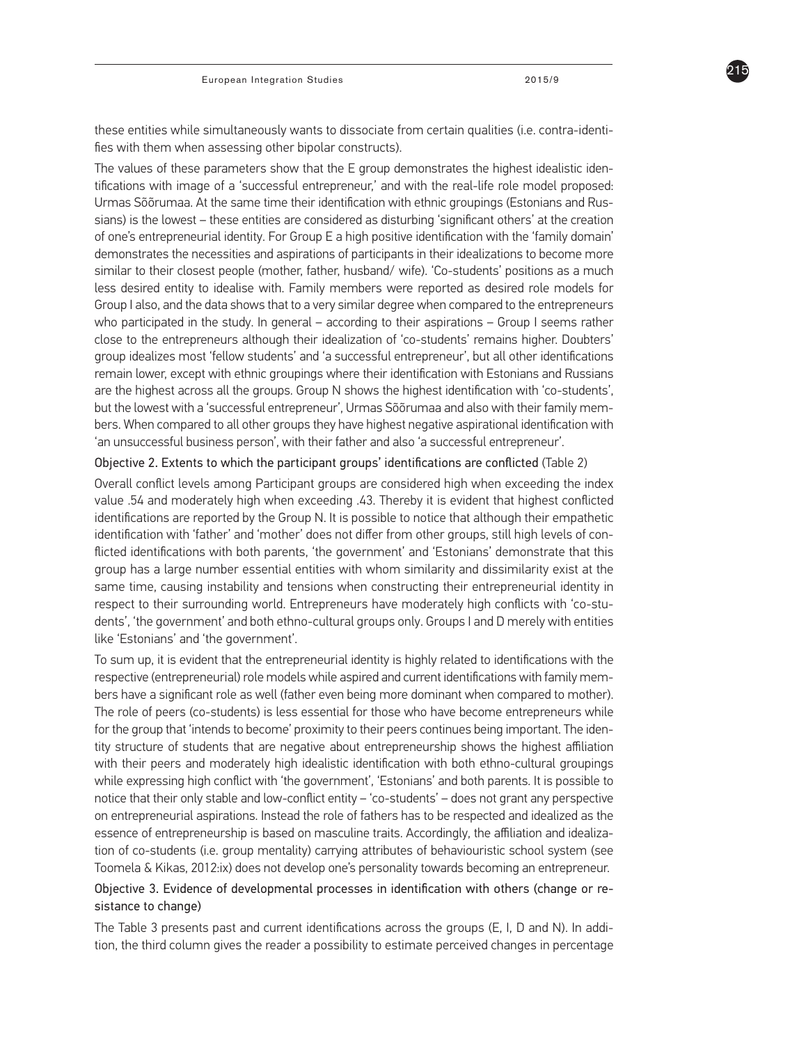these entities while simultaneously wants to dissociate from certain qualities (i.e. contra-identifies with them when assessing other bipolar constructs).

The values of these parameters show that the E group demonstrates the highest idealistic identifications with image of a 'successful entrepreneur,' and with the real-life role model proposed: Urmas Sõõrumaa. At the same time their identification with ethnic groupings (Estonians and Russians) is the lowest – these entities are considered as disturbing 'significant others' at the creation of one's entrepreneurial identity. For Group E a high positive identification with the 'family domain' demonstrates the necessities and aspirations of participants in their idealizations to become more similar to their closest people (mother, father, husband/ wife). 'Co-students' positions as a much less desired entity to idealise with. Family members were reported as desired role models for Group I also, and the data shows that to a very similar degree when compared to the entrepreneurs who participated in the study. In general – according to their aspirations – Group I seems rather close to the entrepreneurs although their idealization of 'co-students' remains higher. Doubters' group idealizes most 'fellow students' and 'a successful entrepreneur', but all other identifications remain lower, except with ethnic groupings where their identification with Estonians and Russians are the highest across all the groups. Group N shows the highest identification with 'co-students', but the lowest with a 'successful entrepreneur', Urmas Sõõrumaa and also with their family members. When compared to all other groups they have highest negative aspirational identification with 'an unsuccessful business person', with their father and also 'a successful entrepreneur'.

#### Objective 2. Extents to which the participant groups' identifications are conflicted (Table 2)

Overall conflict levels among Participant groups are considered high when exceeding the index value .54 and moderately high when exceeding .43. Thereby it is evident that highest conflicted identifications are reported by the Group N. It is possible to notice that although their empathetic identification with 'father' and 'mother' does not differ from other groups, still high levels of conflicted identifications with both parents, 'the government' and 'Estonians' demonstrate that this group has a large number essential entities with whom similarity and dissimilarity exist at the same time, causing instability and tensions when constructing their entrepreneurial identity in respect to their surrounding world. Entrepreneurs have moderately high conflicts with 'co-students', 'the government' and both ethno-cultural groups only. Groups I and D merely with entities like 'Estonians' and 'the government'.

To sum up, it is evident that the entrepreneurial identity is highly related to identifications with the respective (entrepreneurial) role models while aspired and current identifications with family members have a significant role as well (father even being more dominant when compared to mother). The role of peers (co-students) is less essential for those who have become entrepreneurs while for the group that 'intends to become' proximity to their peers continues being important. The identity structure of students that are negative about entrepreneurship shows the highest affiliation with their peers and moderately high idealistic identification with both ethno-cultural groupings while expressing high conflict with 'the government', 'Estonians' and both parents. It is possible to notice that their only stable and low-conflict entity – 'co-students' – does not grant any perspective on entrepreneurial aspirations. Instead the role of fathers has to be respected and idealized as the essence of entrepreneurship is based on masculine traits. Accordingly, the affiliation and idealization of co-students (i.e. group mentality) carrying attributes of behaviouristic school system (see Toomela & Kikas, 2012:ix) does not develop one's personality towards becoming an entrepreneur.

### Objective 3. Evidence of developmental processes in identification with others (change or resistance to change)

The Table 3 presents past and current identifications across the groups (E, I, D and N). In addition, the third column gives the reader a possibility to estimate perceived changes in percentage

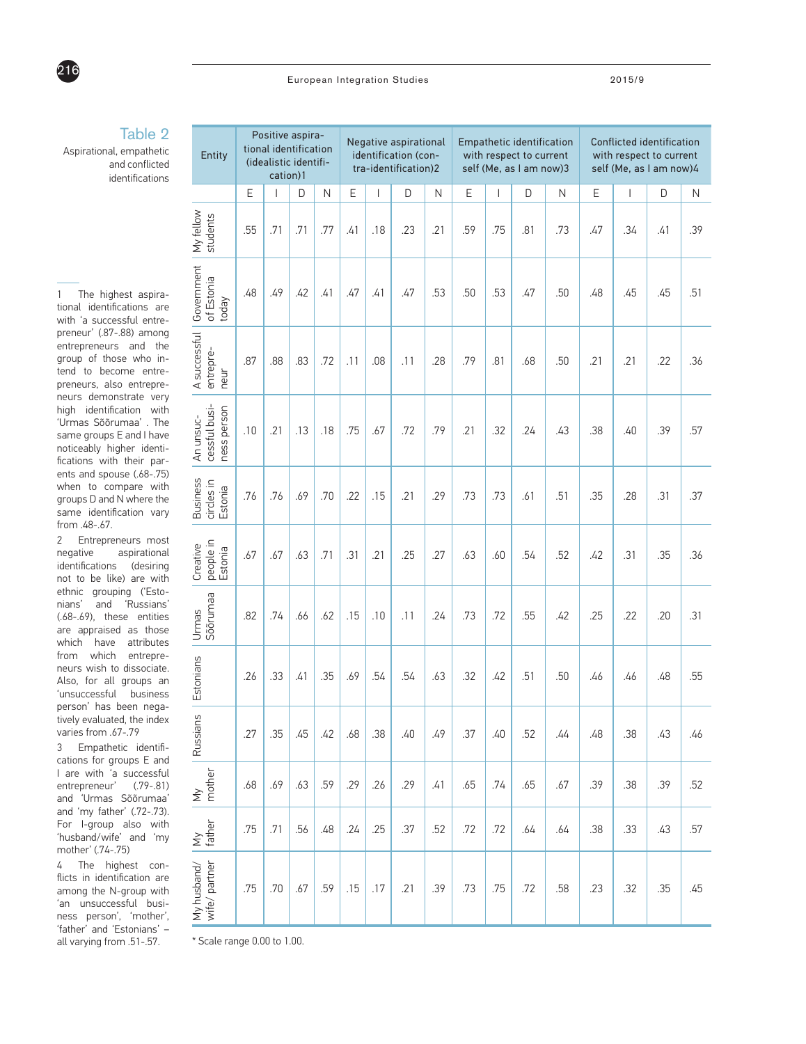

#### European Integration Studies 2015/9

## Table 2

Aspirational, empathetic and conflicted identifications

1 The highest aspirational identifications are with 'a successful entrepreneur' (.87-.88) among entrepreneurs and the group of those who intend to become entrepreneurs, also entrepreneurs demonstrate very high identification with 'Urmas Sõõrumaa' . The same groups E and I have noticeably higher identifications with their parents and spouse (.68-.75) when to compare with groups D and N where the same identification vary from .48-.67.

2 Entrepreneurs most negative aspirational identifications (desiring not to be like) are with ethnic grouping ('Estonians' and 'Russians' (.68-.69), these entities are appraised as those which have attributes from which entrepreneurs wish to dissociate. Also, for all groups an 'unsuccessful business person' has been negatively evaluated, the index varies from .67-.79

3 Empathetic identifications for groups E and I are with 'a successful entrepreneur' (.79-.81) and 'Urmas Sõõrumaa' and 'my father' (.72-.73). For I-group also with 'husband/wife' and 'my mother' (.74-.75)

4 The highest conflicts in identification are among the N-group with 'an unsuccessful business person', 'mother', 'father' and 'Estonians' – all varying from .51-.57.

| Entity                                    |     | Positive aspira-<br>tional identification<br>(idealistic identifi-<br>cation)1 |     |     |     |     | Negative aspirational<br>identification (con-<br>tra-identification)2 |     | Empathetic identification<br>with respect to current<br>self (Me, as I am now)3 |                          |     |     | Conflicted identification<br>with respect to current<br>self (Me, as I am now)4 |              |     |     |
|-------------------------------------------|-----|--------------------------------------------------------------------------------|-----|-----|-----|-----|-----------------------------------------------------------------------|-----|---------------------------------------------------------------------------------|--------------------------|-----|-----|---------------------------------------------------------------------------------|--------------|-----|-----|
|                                           | Ε   | $\overline{\phantom{a}}$                                                       | D   | N   | Ε   | L   | D                                                                     | N   | Ε                                                                               | $\overline{\phantom{a}}$ | D   | N   | Ε                                                                               | $\mathsf{I}$ | D   | N   |
| My fellow<br>students                     | .55 | .71                                                                            | .71 | .77 | .41 | .18 | .23                                                                   | .21 | .59                                                                             | .75                      | .81 | .73 | .47                                                                             | .34          | .41 | .39 |
| Government<br>of Estonia<br>today         | .48 | .49                                                                            | .42 | .41 | .47 | .41 | .47                                                                   | .53 | .50                                                                             | .53                      | .47 | .50 | .48                                                                             | .45          | .45 | .51 |
| A successful<br>entrepre-<br>neur         | .87 | .88                                                                            | .83 | .72 | .11 | .08 | .11                                                                   | .28 | .79                                                                             | .81                      | .68 | .50 | .21                                                                             | .21          | .22 | .36 |
| An unsuc-<br>cessful busi-<br>ness person | .10 | .21                                                                            | .13 | .18 | .75 | .67 | .72                                                                   | .79 | .21                                                                             | .32                      | .24 | .43 | .38                                                                             | .40          | .39 | .57 |
| Business<br>circles in<br>Estonia         | .76 | .76                                                                            | .69 | .70 | .22 | .15 | .21                                                                   | .29 | .73                                                                             | .73                      | .61 | .51 | .35                                                                             | .28          | .31 | .37 |
| Creative<br>people in<br>Estonia          | .67 | .67                                                                            | .63 | .71 | .31 | .21 | .25                                                                   | .27 | .63                                                                             | .60                      | .54 | .52 | .42                                                                             | .31          | .35 | .36 |
| Urmas<br>Sõõrumaa                         | .82 | .74                                                                            | .66 | .62 | .15 | .10 | .11                                                                   | .24 | .73                                                                             | .72                      | .55 | .42 | .25                                                                             | .22          | .20 | .31 |
| Estonians                                 | .26 | .33                                                                            | .41 | .35 | .69 | .54 | .54                                                                   | .63 | .32                                                                             | .42                      | .51 | .50 | .46                                                                             | .46          | .48 | .55 |
| Russians                                  | .27 | .35                                                                            | .45 | .42 | .68 | .38 | .40                                                                   | .49 | .37                                                                             | .40                      | .52 | .44 | .48                                                                             | .38          | .43 | .46 |
| My<br>mother                              | .68 | .69                                                                            | .63 | .59 | .29 | .26 | .29                                                                   | .41 | .65                                                                             | .74                      | .65 | .67 | .39                                                                             | .38          | .39 | .52 |
| $\frac{My}{\text{father}}$                | .75 | .71                                                                            | .56 | .48 | .24 | .25 | .37                                                                   | .52 | .72                                                                             | .72                      | .64 | .64 | .38                                                                             | .33          | .43 | .57 |
| My husband/<br>wife/partner               | .75 | .70                                                                            | .67 | .59 | .15 | .17 | .21                                                                   | .39 | .73                                                                             | .75                      | .72 | .58 | .23                                                                             | .32          | .35 | .45 |

\* Scale range 0.00 to 1.00.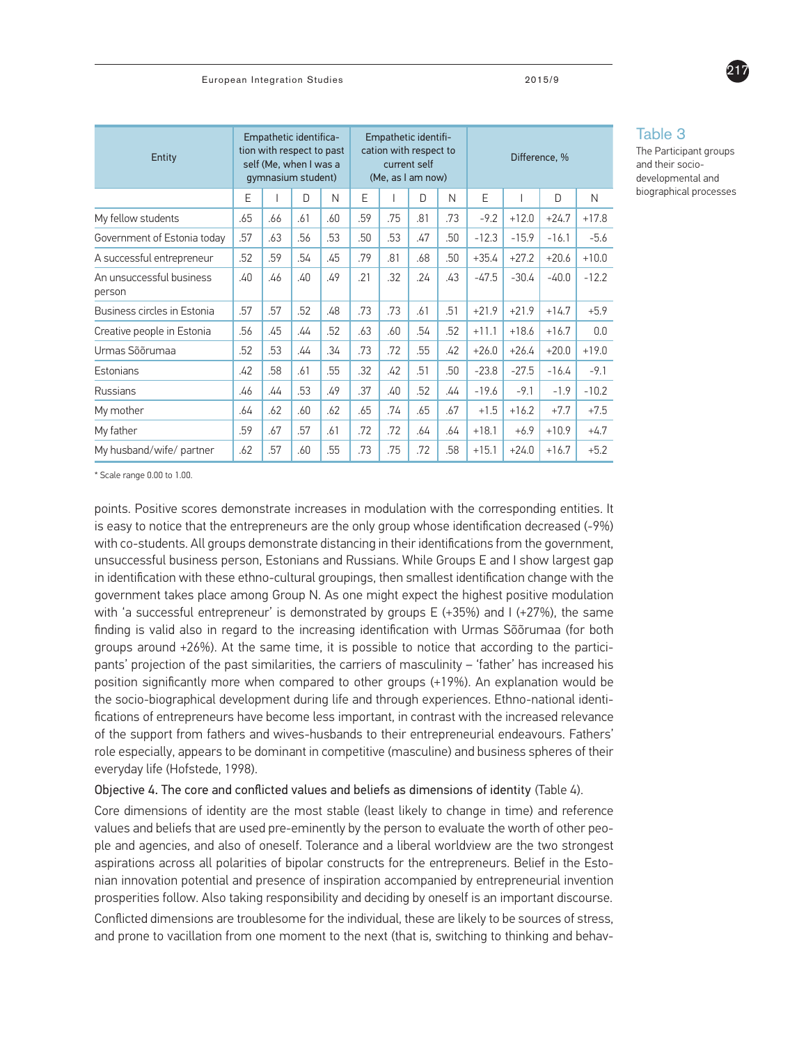| Entity                             | Empathetic identifica-<br>tion with respect to past<br>self (Me, when I was a<br>gymnasium student) |     |     |     | Empathetic identifi-<br>cation with respect to<br>current self<br>(Me, as I am now) |     |        |     | Difference, % |         |         |         |
|------------------------------------|-----------------------------------------------------------------------------------------------------|-----|-----|-----|-------------------------------------------------------------------------------------|-----|--------|-----|---------------|---------|---------|---------|
|                                    | E                                                                                                   |     | D   | N   | F                                                                                   |     | $\Box$ | N   | E             |         | D       | N       |
| My fellow students                 | .65                                                                                                 | .66 | .61 | .60 | .59                                                                                 | .75 | .81    | .73 | $-9.2$        | $+12.0$ | $+24.7$ | $+17.8$ |
| Government of Estonia today        | .57                                                                                                 | .63 | .56 | .53 | .50                                                                                 | .53 | .47    | .50 | $-12.3$       | $-15.9$ | $-16.1$ | $-5.6$  |
| A successful entrepreneur          | .52                                                                                                 | .59 | .54 | .45 | .79                                                                                 | .81 | .68    | .50 | $+35.4$       | $+27.2$ | $+20.6$ | $+10.0$ |
| An unsuccessful business<br>person | .40                                                                                                 | .46 | .40 | .49 | .21                                                                                 | .32 | .24    | .43 | $-47.5$       | $-30.4$ | $-40.0$ | $-12.2$ |
| Business circles in Estonia        | .57                                                                                                 | .57 | .52 | .48 | .73                                                                                 | .73 | .61    | .51 | $+21.9$       | $+21.9$ | $+14.7$ | $+5.9$  |
| Creative people in Estonia         | .56                                                                                                 | .45 | .44 | .52 | .63                                                                                 | .60 | .54    | .52 | $+11.1$       | $+18.6$ | $+16.7$ | 0.0     |
| Urmas Sõõrumaa                     | .52                                                                                                 | .53 | .44 | .34 | .73                                                                                 | .72 | .55    | .42 | $+26.0$       | $+26.4$ | $+20.0$ | $+19.0$ |
| Estonians                          | .42                                                                                                 | .58 | .61 | .55 | .32                                                                                 | .42 | .51    | .50 | $-23.8$       | $-27.5$ | $-16.4$ | $-9.1$  |
| Russians                           | .46                                                                                                 | .44 | .53 | .49 | .37                                                                                 | .40 | .52    | .44 | $-19.6$       | $-9.1$  | $-1.9$  | $-10.2$ |
| My mother                          | .64                                                                                                 | .62 | .60 | .62 | .65                                                                                 | .74 | .65    | .67 | $+1.5$        | $+16.2$ | $+7.7$  | $+7.5$  |
| My father                          | .59                                                                                                 | .67 | .57 | .61 | .72                                                                                 | .72 | .64    | .64 | $+18.1$       | $+6.9$  | $+10.9$ | $+4.7$  |
| My husband/wife/ partner           | .62                                                                                                 | .57 | .60 | .55 | .73                                                                                 | .75 | .72    | .58 | $+15.1$       | $+24.0$ | $+16.7$ | $+5.2$  |

Table 3

The Participant groups and their sociodevelopmental and biographical processes

217

\* Scale range 0.00 to 1.00.

points. Positive scores demonstrate increases in modulation with the corresponding entities. It is easy to notice that the entrepreneurs are the only group whose identification decreased (-9%) with co-students. All groups demonstrate distancing in their identifications from the government, unsuccessful business person, Estonians and Russians. While Groups E and I show largest gap in identification with these ethno-cultural groupings, then smallest identification change with the government takes place among Group N. As one might expect the highest positive modulation with 'a successful entrepreneur' is demonstrated by groups  $E$  (+35%) and I (+27%), the same finding is valid also in regard to the increasing identification with Urmas Sõõrumaa (for both groups around +26%). At the same time, it is possible to notice that according to the participants' projection of the past similarities, the carriers of masculinity – 'father' has increased his position significantly more when compared to other groups (+19%). An explanation would be the socio-biographical development during life and through experiences. Ethno-national identifications of entrepreneurs have become less important, in contrast with the increased relevance of the support from fathers and wives-husbands to their entrepreneurial endeavours. Fathers' role especially, appears to be dominant in competitive (masculine) and business spheres of their everyday life (Hofstede, 1998).

#### Objective 4. The core and conflicted values and beliefs as dimensions of identity (Table 4).

Core dimensions of identity are the most stable (least likely to change in time) and reference values and beliefs that are used pre-eminently by the person to evaluate the worth of other people and agencies, and also of oneself. Tolerance and a liberal worldview are the two strongest aspirations across all polarities of bipolar constructs for the entrepreneurs. Belief in the Estonian innovation potential and presence of inspiration accompanied by entrepreneurial invention prosperities follow. Also taking responsibility and deciding by oneself is an important discourse.

Conflicted dimensions are troublesome for the individual, these are likely to be sources of stress, and prone to vacillation from one moment to the next (that is, switching to thinking and behav-

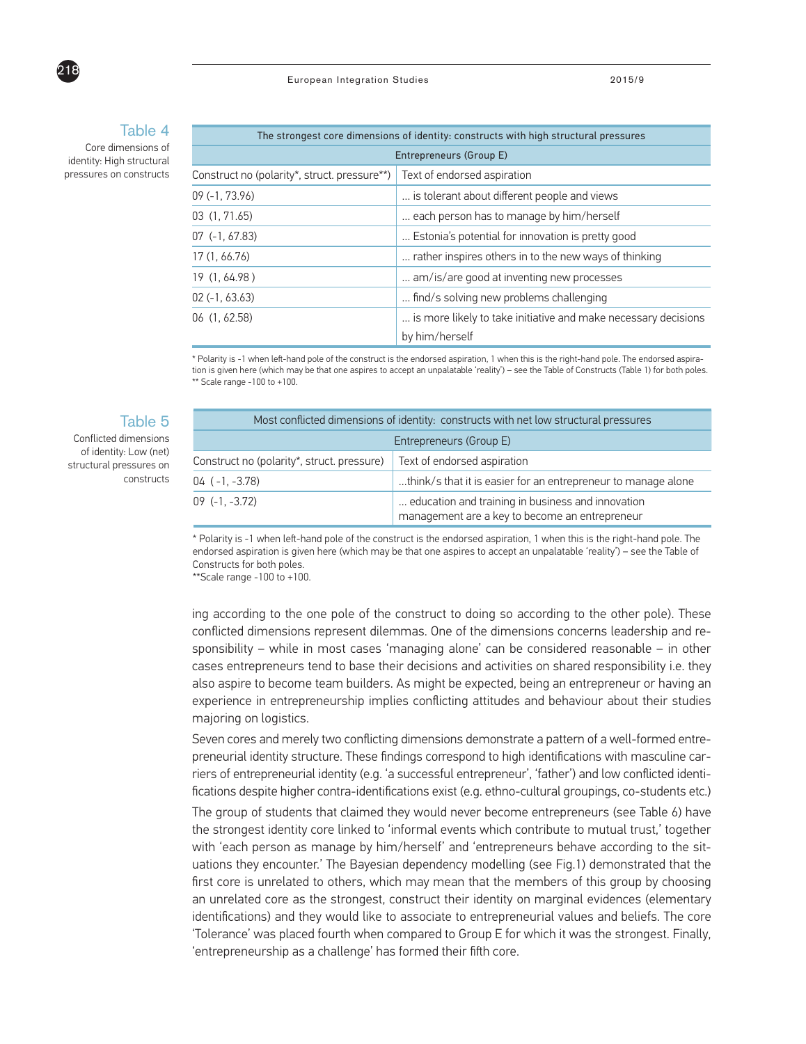

Core dimensions of identity: High structural pressures on constructs

่ ว 1 ค

| The strongest core dimensions of identity: constructs with high structural pressures |                                                                |  |  |  |  |  |
|--------------------------------------------------------------------------------------|----------------------------------------------------------------|--|--|--|--|--|
| Entrepreneurs (Group E)                                                              |                                                                |  |  |  |  |  |
| Construct no (polarity*, struct. pressure**)                                         | Text of endorsed aspiration                                    |  |  |  |  |  |
| $09(-1, 73.96)$                                                                      | is tolerant about different people and views                   |  |  |  |  |  |
| 03 (1, 71.65)                                                                        | each person has to manage by him/herself                       |  |  |  |  |  |
| $07$ (-1, 67.83)                                                                     | Estonia's potential for innovation is pretty good              |  |  |  |  |  |
| 17 (1, 66.76)                                                                        | rather inspires others in to the new ways of thinking          |  |  |  |  |  |
| 19 (1, 64.98)                                                                        | am/is/are good at inventing new processes                      |  |  |  |  |  |
| $02(-1, 63.63)$                                                                      | find/s solving new problems challenging                        |  |  |  |  |  |
| 06 (1, 62.58)                                                                        | is more likely to take initiative and make necessary decisions |  |  |  |  |  |
|                                                                                      | by him/herself                                                 |  |  |  |  |  |

\* Polarity is -1 when left-hand pole of the construct is the endorsed aspiration, 1 when this is the right-hand pole. The endorsed aspiration is given here (which may be that one aspires to accept an unpalatable 'reality') – see the Table of Constructs (Table 1) for both poles. \*\* Scale range -100 to +100.

#### Table 5

Conflicted dimensions of identity: Low (net) structural pressures on constructs

| Most conflicted dimensions of identity: constructs with net low structural pressures |                                                                                                     |  |  |  |  |
|--------------------------------------------------------------------------------------|-----------------------------------------------------------------------------------------------------|--|--|--|--|
| Entrepreneurs (Group E)                                                              |                                                                                                     |  |  |  |  |
| Construct no (polarity*, struct. pressure)                                           | Text of endorsed aspiration                                                                         |  |  |  |  |
| 04 ( -1, -3.78)                                                                      | think/s that it is easier for an entrepreneur to manage alone                                       |  |  |  |  |
| 09 (-1. -3.72)                                                                       | education and training in business and innovation<br>management are a key to become an entrepreneur |  |  |  |  |

\* Polarity is -1 when left-hand pole of the construct is the endorsed aspiration, 1 when this is the right-hand pole. The endorsed aspiration is given here (which may be that one aspires to accept an unpalatable 'reality') – see the Table of Constructs for both poles.

\*\*Scale range -100 to +100.

ing according to the one pole of the construct to doing so according to the other pole). These conflicted dimensions represent dilemmas. One of the dimensions concerns leadership and responsibility – while in most cases 'managing alone' can be considered reasonable – in other cases entrepreneurs tend to base their decisions and activities on shared responsibility i.e. they also aspire to become team builders. As might be expected, being an entrepreneur or having an experience in entrepreneurship implies conflicting attitudes and behaviour about their studies majoring on logistics.

Seven cores and merely two conflicting dimensions demonstrate a pattern of a well-formed entrepreneurial identity structure. These findings correspond to high identifications with masculine carriers of entrepreneurial identity (e.g. 'a successful entrepreneur', 'father') and low conflicted identifications despite higher contra-identifications exist (e.g. ethno-cultural groupings, co-students etc.)

The group of students that claimed they would never become entrepreneurs (see Table 6) have the strongest identity core linked to 'informal events which contribute to mutual trust,' together with 'each person as manage by him/herself' and 'entrepreneurs behave according to the situations they encounter.' The Bayesian dependency modelling (see Fig.1) demonstrated that the first core is unrelated to others, which may mean that the members of this group by choosing an unrelated core as the strongest, construct their identity on marginal evidences (elementary identifications) and they would like to associate to entrepreneurial values and beliefs. The core 'Tolerance' was placed fourth when compared to Group E for which it was the strongest. Finally, 'entrepreneurship as a challenge' has formed their fifth core.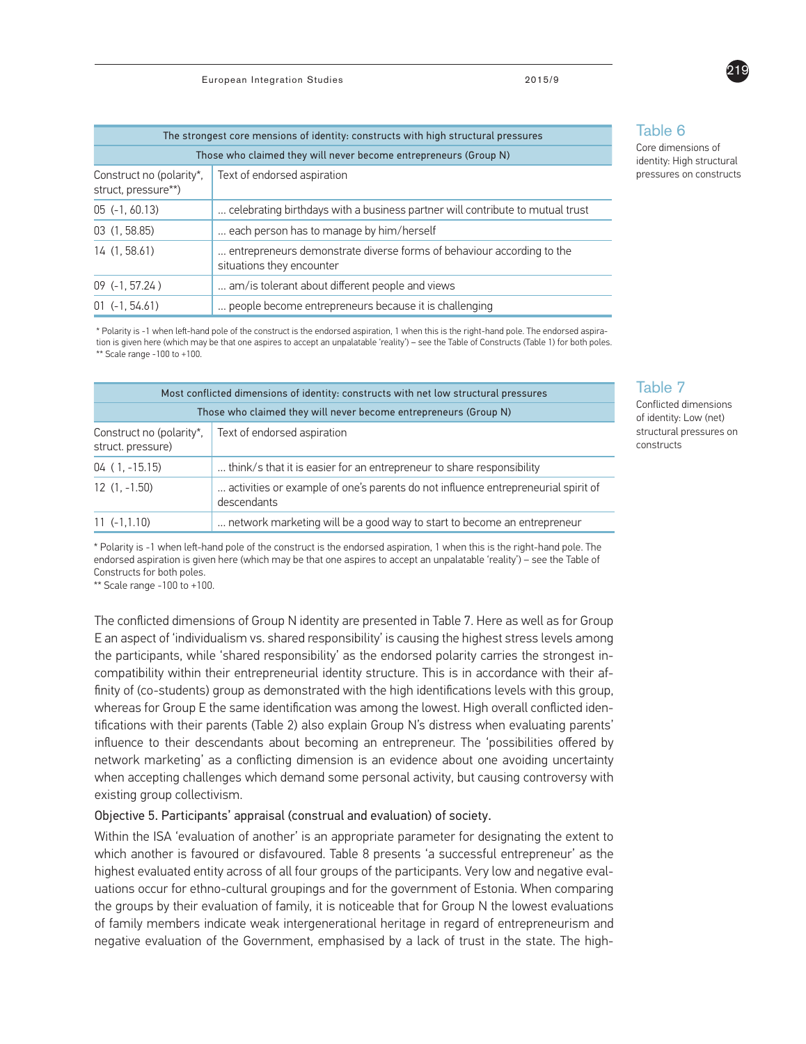| The strongest core mensions of identity: constructs with high structural pressures |                                                                                                    |  |  |  |  |  |  |  |
|------------------------------------------------------------------------------------|----------------------------------------------------------------------------------------------------|--|--|--|--|--|--|--|
|                                                                                    | Those who claimed they will never become entrepreneurs (Group N)                                   |  |  |  |  |  |  |  |
| Text of endorsed aspiration<br>Construct no (polarity*,<br>struct, pressure**)     |                                                                                                    |  |  |  |  |  |  |  |
| $05(-1, 60.13)$                                                                    | celebrating birthdays with a business partner will contribute to mutual trust                      |  |  |  |  |  |  |  |
| 03(1, 58.85)                                                                       | each person has to manage by him/herself                                                           |  |  |  |  |  |  |  |
| 14(1, 58.61)                                                                       | entrepreneurs demonstrate diverse forms of behaviour according to the<br>situations they encounter |  |  |  |  |  |  |  |
| $09$ (-1, 57.24)                                                                   | am/is tolerant about different people and views                                                    |  |  |  |  |  |  |  |
| $01 (-1.54.61)$                                                                    | people become entrepreneurs because it is challenging                                              |  |  |  |  |  |  |  |

\* Polarity is -1 when left-hand pole of the construct is the endorsed aspiration, 1 when this is the right-hand pole. The endorsed aspiration is given here (which may be that one aspires to accept an unpalatable 'reality') – see the Table of Constructs (Table 1) for both poles. \*\* Scale range -100 to +100.

| Most conflicted dimensions of identity: constructs with net low structural pressures |                                                                                                  |  |  |  |  |  |  |
|--------------------------------------------------------------------------------------|--------------------------------------------------------------------------------------------------|--|--|--|--|--|--|
|                                                                                      | Those who claimed they will never become entrepreneurs (Group N)                                 |  |  |  |  |  |  |
| Text of endorsed aspiration<br>Construct no (polarity*,<br>struct. pressure)         |                                                                                                  |  |  |  |  |  |  |
| $04(1, -15.15)$                                                                      | think/s that it is easier for an entrepreneur to share responsibility                            |  |  |  |  |  |  |
| $12(1, -1.50)$                                                                       | activities or example of one's parents do not influence entrepreneurial spirit of<br>descendants |  |  |  |  |  |  |
| $11 (-1.1.10)$                                                                       | network marketing will be a good way to start to become an entrepreneur                          |  |  |  |  |  |  |

\* Polarity is -1 when left-hand pole of the construct is the endorsed aspiration, 1 when this is the right-hand pole. The endorsed aspiration is given here (which may be that one aspires to accept an unpalatable 'reality') – see the Table of Constructs for both poles.

\*\* Scale range -100 to +100.

The conflicted dimensions of Group N identity are presented in Table 7. Here as well as for Group E an aspect of 'individualism vs. shared responsibility' is causing the highest stress levels among the participants, while 'shared responsibility' as the endorsed polarity carries the strongest incompatibility within their entrepreneurial identity structure. This is in accordance with their affinity of (co-students) group as demonstrated with the high identifications levels with this group, whereas for Group E the same identification was among the lowest. High overall conflicted identifications with their parents (Table 2) also explain Group N's distress when evaluating parents' influence to their descendants about becoming an entrepreneur. The 'possibilities offered by network marketing' as a conflicting dimension is an evidence about one avoiding uncertainty when accepting challenges which demand some personal activity, but causing controversy with existing group collectivism.

#### Objective 5. Participants' appraisal (construal and evaluation) of society.

Within the ISA 'evaluation of another' is an appropriate parameter for designating the extent to which another is favoured or disfavoured. Table 8 presents 'a successful entrepreneur' as the highest evaluated entity across of all four groups of the participants. Very low and negative evaluations occur for ethno-cultural groupings and for the government of Estonia. When comparing the groups by their evaluation of family, it is noticeable that for Group N the lowest evaluations of family members indicate weak intergenerational heritage in regard of entrepreneurism and negative evaluation of the Government, emphasised by a lack of trust in the state. The high-

### Table 6

Core dimensions of identity: High structural pressures on constructs

### Table 7

Conflicted dimensions of identity: Low (net) structural pressures on constructs

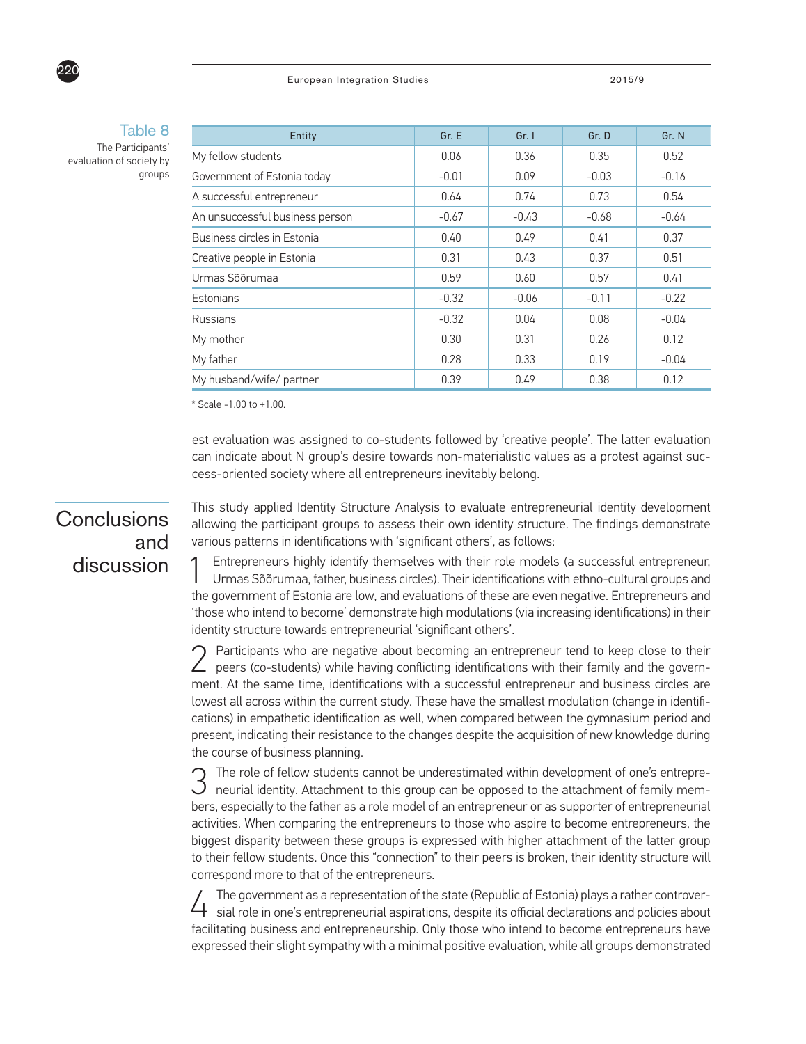#### European Integration Studies 2015/9



## Table 8

The Participants' evaluation of society by groups

| Entity                             | Gr. E   | Gr. 1   | Gr. D   | Gr. N   |
|------------------------------------|---------|---------|---------|---------|
| My fellow students                 | 0.06    | 0.36    | 0.35    | 0.52    |
| Government of Estonia today        | $-0.01$ | 0.09    | $-0.03$ | $-0.16$ |
| A successful entrepreneur          | 0.64    | 0.74    | 0.73    | 0.54    |
| An unsuccessful business person    | $-0.67$ | $-0.43$ | $-0.68$ | $-0.64$ |
| <b>Business circles in Estonia</b> | 0.40    | 0.49    | 0.41    | 0.37    |
| Creative people in Estonia         | 0.31    | 0.43    | 0.37    | 0.51    |
| Urmas Sõõrumaa                     | 0.59    | 0.60    | 0.57    | 0.41    |
| Estonians                          | $-0.32$ | $-0.06$ | $-0.11$ | $-0.22$ |
| <b>Russians</b>                    | $-0.32$ | 0.04    | 0.08    | $-0.04$ |
| My mother                          | 0.30    | 0.31    | 0.26    | 0.12    |
| My father                          | 0.28    | 0.33    | 0.19    | $-0.04$ |
| My husband/wife/ partner           | 0.39    | 0.49    | 0.38    | 0.12    |

\* Scale -1.00 to +1.00.

est evaluation was assigned to co-students followed by 'creative people'. The latter evaluation can indicate about N group's desire towards non-materialistic values as a protest against success-oriented society where all entrepreneurs inevitably belong.

## **Conclusions** and discussion

This study applied Identity Structure Analysis to evaluate entrepreneurial identity development allowing the participant groups to assess their own identity structure. The findings demonstrate various patterns in identifications with 'significant others', as follows:

Entrepreneurs highly identify themselves with their role models (a successful entrepreneur, Urmas Sõõrumaa, father, business circles). Their identifications with ethno-cultural groups and the government of Estonia are low, and evaluations of these are even negative. Entrepreneurs and 'those who intend to become' demonstrate high modulations (via increasing identifications) in their identity structure towards entrepreneurial 'significant others'.

2 Participants who are negative about becoming an entrepreneur tend to keep close to their peers (co-students) while having conflicting identifications with their family and the government. At the same time, identifications with a successful entrepreneur and business circles are lowest all across within the current study. These have the smallest modulation (change in identifications) in empathetic identification as well, when compared between the gymnasium period and present, indicating their resistance to the changes despite the acquisition of new knowledge during the course of business planning.

3 The role of fellow students cannot be underestimated within development of one's entrepre-neurial identity. Attachment to this group can be opposed to the attachment of family members, especially to the father as a role model of an entrepreneur or as supporter of entrepreneurial activities. When comparing the entrepreneurs to those who aspire to become entrepreneurs, the biggest disparity between these groups is expressed with higher attachment of the latter group to their fellow students. Once this "connection" to their peers is broken, their identity structure will correspond more to that of the entrepreneurs.

4 The government as a representation of the state (Republic of Estonia) plays a rather controver-sial role in one's entrepreneurial aspirations, despite its official declarations and policies about facilitating business and entrepreneurship. Only those who intend to become entrepreneurs have expressed their slight sympathy with a minimal positive evaluation, while all groups demonstrated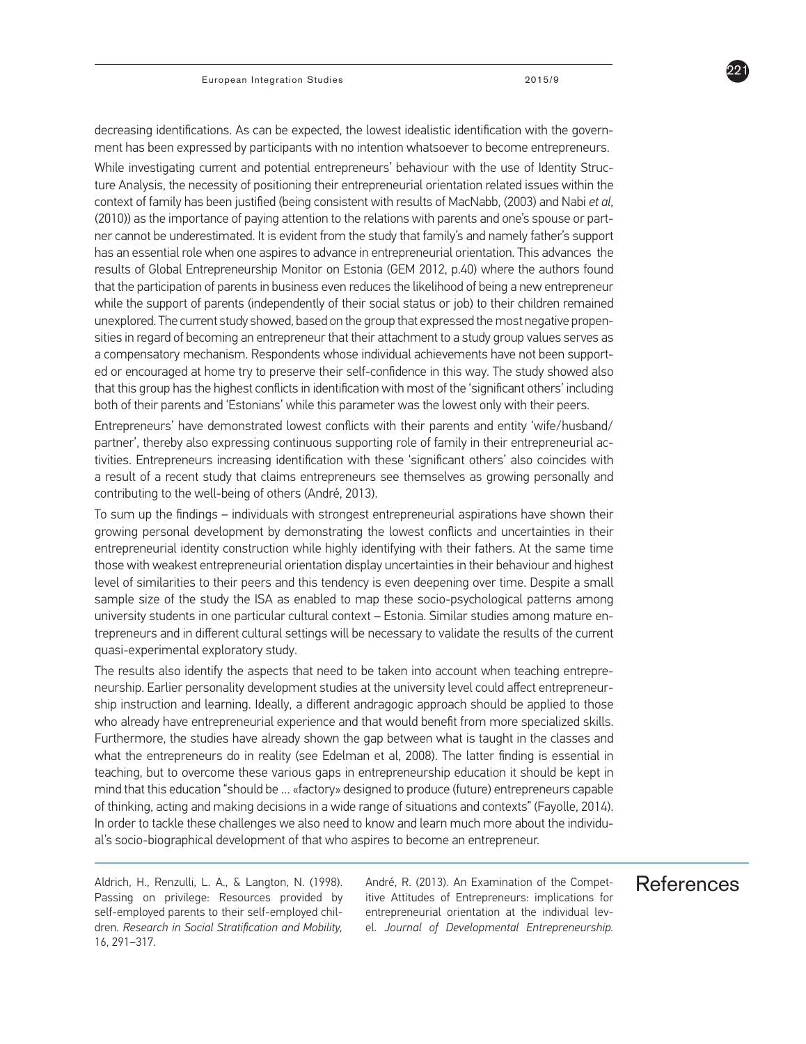221

decreasing identifications. As can be expected, the lowest idealistic identification with the government has been expressed by participants with no intention whatsoever to become entrepreneurs.

While investigating current and potential entrepreneurs' behaviour with the use of Identity Structure Analysis, the necessity of positioning their entrepreneurial orientation related issues within the context of family has been justified (being consistent with results of MacNabb, (2003) and Nabi *et al*, (2010)) as the importance of paying attention to the relations with parents and one's spouse or partner cannot be underestimated. It is evident from the study that family's and namely father's support has an essential role when one aspires to advance in entrepreneurial orientation. This advances the results of Global Entrepreneurship Monitor on Estonia (GEM 2012, p.40) where the authors found that the participation of parents in business even reduces the likelihood of being a new entrepreneur while the support of parents (independently of their social status or job) to their children remained unexplored. The current study showed, based on the group that expressed the most negative propensities in regard of becoming an entrepreneur that their attachment to a study group values serves as a compensatory mechanism. Respondents whose individual achievements have not been supported or encouraged at home try to preserve their self-confidence in this way. The study showed also that this group has the highest conflicts in identification with most of the 'significant others' including both of their parents and 'Estonians' while this parameter was the lowest only with their peers.

Entrepreneurs' have demonstrated lowest conflicts with their parents and entity 'wife/husband/ partner', thereby also expressing continuous supporting role of family in their entrepreneurial activities. Entrepreneurs increasing identification with these 'significant others' also coincides with a result of a recent study that claims entrepreneurs see themselves as growing personally and contributing to the well-being of others (André, 2013).

To sum up the findings – individuals with strongest entrepreneurial aspirations have shown their growing personal development by demonstrating the lowest conflicts and uncertainties in their entrepreneurial identity construction while highly identifying with their fathers. At the same time those with weakest entrepreneurial orientation display uncertainties in their behaviour and highest level of similarities to their peers and this tendency is even deepening over time. Despite a small sample size of the study the ISA as enabled to map these socio-psychological patterns among university students in one particular cultural context – Estonia. Similar studies among mature entrepreneurs and in different cultural settings will be necessary to validate the results of the current quasi-experimental exploratory study.

The results also identify the aspects that need to be taken into account when teaching entrepreneurship. Earlier personality development studies at the university level could affect entrepreneurship instruction and learning. Ideally, a different andragogic approach should be applied to those who already have entrepreneurial experience and that would benefit from more specialized skills. Furthermore, the studies have already shown the gap between what is taught in the classes and what the entrepreneurs do in reality (see Edelman et al, 2008). The latter finding is essential in teaching, but to overcome these various gaps in entrepreneurship education it should be kept in mind that this education "should be … «factory» designed to produce (future) entrepreneurs capable of thinking, acting and making decisions in a wide range of situations and contexts" (Fayolle, 2014). In order to tackle these challenges we also need to know and learn much more about the individual's socio-biographical development of that who aspires to become an entrepreneur.

Passing on privilege: Resources provided by self-employed parents to their self-employed children. *Research in Social Stratification and Mobility,*  16, 291–317.

Aldrich, H., Renzulli, L. A., & Langton, N. (1998). André, R. (2013). An Examination of the Compet- References André, R. (2013). An Examination of the Competitive Attitudes of Entrepreneurs: implications for entrepreneurial orientation at the individual level. *Journal of Developmental Entrepreneurship.*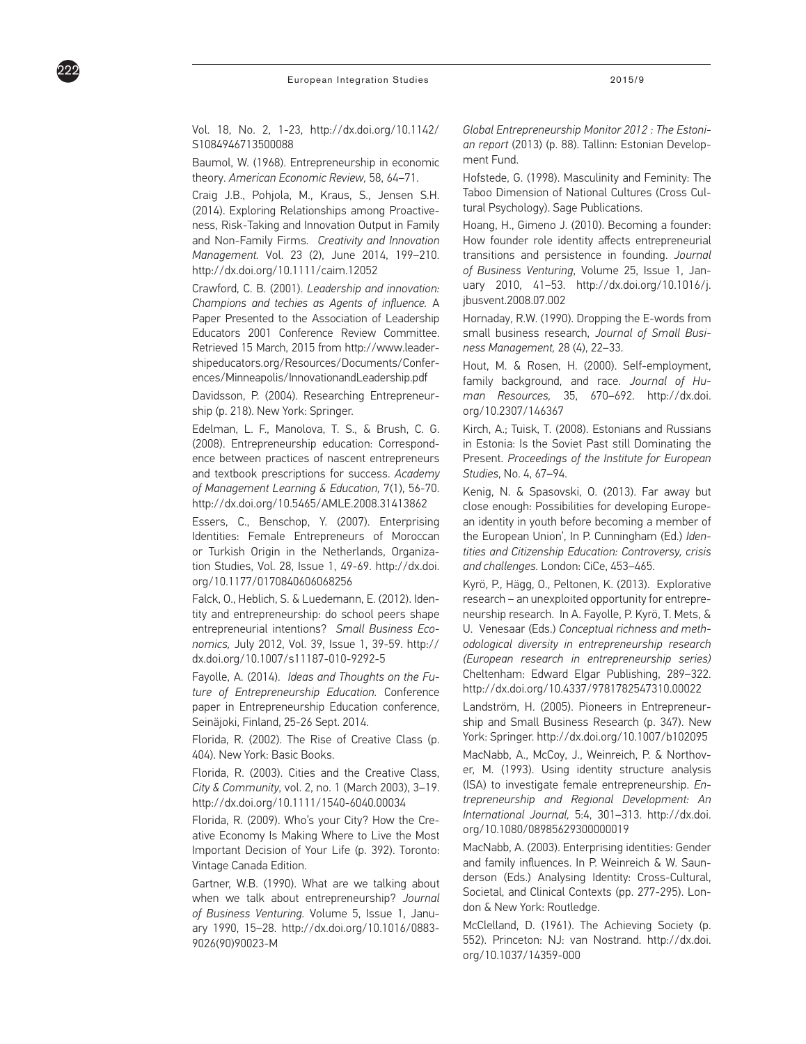European Integration Studies 2015/9

Vol. 18, No. 2, 1-23, http://dx.doi.org/10.1142/

S1084946713500088

222

Baumol, W. (1968). Entrepreneurship in economic theory. *American Economic Review,* 58, 64–71.

Craig J.B., Pohjola, M., Kraus, S., Jensen S.H. (2014). Exploring Relationships among Proactiveness, Risk-Taking and Innovation Output in Family and Non-Family Firms. *Creativity and Innovation Management.* Vol. 23 (2), June 2014, 199–210. http://dx.doi.org/10.1111/caim.12052

Crawford, C. B. (2001). *Leadership and innovation: Champions and techies as Agents of influence.* A Paper Presented to the Association of Leadership Educators 2001 Conference Review Committee. Retrieved 15 March, 2015 from http://www.leadershipeducators.org/Resources/Documents/Conferences/Minneapolis/InnovationandLeadership.pdf

Davidsson, P. (2004). Researching Entrepreneurship (p. 218). New York: Springer.

Edelman, L. F., Manolova, T. S., & Brush, C. G. (2008). Entrepreneurship education: Correspondence between practices of nascent entrepreneurs and textbook prescriptions for success. *Academy of Management Learning & Education,* 7(1), 56-70. http://dx.doi.org/10.5465/AMLE.2008.31413862

Essers, C., Benschop, Y. (2007). Enterprising Identities: Female Entrepreneurs of Moroccan or Turkish Origin in the Netherlands, Organization Studies, Vol. 28, Issue 1, 49-69. http://dx.doi. org/10.1177/0170840606068256

Falck, O., Heblich, S. & Luedemann, E. (2012). Identity and entrepreneurship: do school peers shape entrepreneurial intentions? *Small Business Economics,* July 2012, Vol. 39, Issue 1, 39-59. http:// dx.doi.org/10.1007/s11187-010-9292-5

Fayolle, A. (2014). *Ideas and Thoughts on the Future of Entrepreneurship Education.* Conference paper in Entrepreneurship Education conference, Seinäjoki, Finland, 25-26 Sept. 2014.

Florida, R. (2002). The Rise of Creative Class (p. 404). New York: Basic Books.

Florida, R. (2003). Cities and the Creative Class, *City & Community*, vol. 2, no. 1 (March 2003), 3–19. http://dx.doi.org/10.1111/1540-6040.00034

Florida, R. (2009). Who's your City? How the Creative Economy Is Making Where to Live the Most Important Decision of Your Life (p. 392). Toronto: Vintage Canada Edition.

Gartner, W.B. (1990). What are we talking about when we talk about entrepreneurship? *Journal of Business Venturing.* Volume 5, Issue 1, January 1990, 15–28. http://dx.doi.org/10.1016/0883- 9026(90)90023-M

*Global Entrepreneurship Monitor 2012 : The Estonian report* (2013) (p. 88). Tallinn: Estonian Development Fund.

Hofstede, G. (1998). Masculinity and Feminity: The Taboo Dimension of National Cultures (Cross Cultural Psychology). Sage Publications.

Hoang, H., Gimeno J. (2010). Becoming a founder: How founder role identity affects entrepreneurial transitions and persistence in founding. *Journal of Business Venturing*, Volume 25, Issue 1, January 2010, 41–53. http://dx.doi.org/10.1016/j. jbusvent.2008.07.002

Hornaday, R.W. (1990). Dropping the E-words from small business research, *Journal of Small Business Management,* 28 (4), 22–33.

Hout, M. & Rosen, H. (2000). Self-employment, family background, and race. *Journal of Human Resources,* 35, 670–692. http://dx.doi. org/10.2307/146367

Kirch, A.; Tuisk, T. (2008). Estonians and Russians in Estonia: Is the Soviet Past still Dominating the Present. *Proceedings of the Institute for European Studies*, No. 4, 67–94.

Kenig, N. & Spasovski, O. (2013). Far away but close enough: Possibilities for developing European identity in youth before becoming a member of the European Union', In P. Cunningham (Ed.) *Identities and Citizenship Education: Controversy, crisis and challenges.* London: CiCe, 453–465.

Kyrö, P., Hägg, O., Peltonen, K. (2013). Explorative research – an unexploited opportunity for entrepreneurship research. In A. Fayolle, P. Kyrö, T. Mets, & U. Venesaar (Eds.) *Conceptual richness and methodological diversity in entrepreneurship research (European research in entrepreneurship series)*  Cheltenham: Edward Elgar Publishing, 289–322. http://dx.doi.org/10.4337/9781782547310.00022

Landström, H. (2005). Pioneers in Entrepreneurship and Small Business Research (p. 347). New York: Springer. http://dx.doi.org/10.1007/b102095

MacNabb, A., McCoy, J., Weinreich, P. & Northover, M. (1993). Using identity structure analysis (ISA) to investigate female entrepreneurship. *Entrepreneurship and Regional Development: An International Journal,* 5:4, 301–313. http://dx.doi. org/10.1080/08985629300000019

MacNabb, A. (2003). Enterprising identities: Gender and family influences. In P. Weinreich & W. Saunderson (Eds.) Analysing Identity: Cross-Cultural, Societal, and Clinical Contexts (pp. 277-295). London & New York: Routledge.

McClelland, D. (1961). The Achieving Society (p. 552). Princeton: NJ: van Nostrand. http://dx.doi. org/10.1037/14359-000